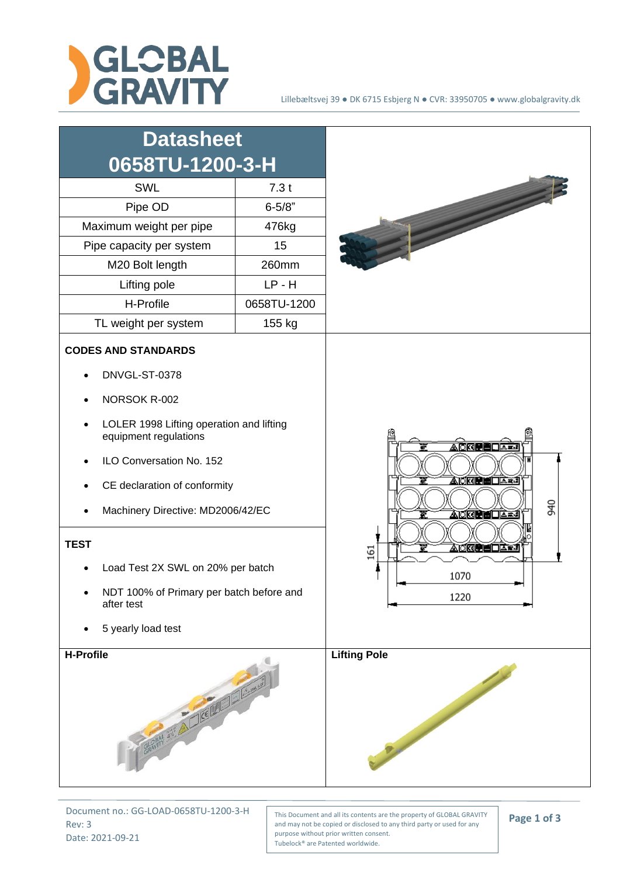

| <b>Datasheet</b><br>0658TU-1200-3-H                                                                                                                                                                                                                                                                                                             |             |                                                                                                         |
|-------------------------------------------------------------------------------------------------------------------------------------------------------------------------------------------------------------------------------------------------------------------------------------------------------------------------------------------------|-------------|---------------------------------------------------------------------------------------------------------|
| SWL                                                                                                                                                                                                                                                                                                                                             | 7.3t        |                                                                                                         |
| Pipe OD                                                                                                                                                                                                                                                                                                                                         | $6 - 5/8"$  |                                                                                                         |
| Maximum weight per pipe<br>476kg                                                                                                                                                                                                                                                                                                                |             |                                                                                                         |
| Pipe capacity per system                                                                                                                                                                                                                                                                                                                        | 15          |                                                                                                         |
| M20 Bolt length                                                                                                                                                                                                                                                                                                                                 | 260mm       |                                                                                                         |
| Lifting pole                                                                                                                                                                                                                                                                                                                                    | $LP - H$    |                                                                                                         |
| H-Profile                                                                                                                                                                                                                                                                                                                                       | 0658TU-1200 |                                                                                                         |
| TL weight per system                                                                                                                                                                                                                                                                                                                            | 155 kg      |                                                                                                         |
| <b>CODES AND STANDARDS</b><br>DNVGL-ST-0378<br>NORSOK R-002<br>LOLER 1998 Lifting operation and lifting<br>equipment regulations<br>ILO Conversation No. 152<br>CE declaration of conformity<br>Machinery Directive: MD2006/42/EC<br><b>TEST</b><br>Load Test 2X SWL on 20% per batch<br>NDT 100% of Primary per batch before and<br>after test |             | <u> AOREEOA≖</u><br>▲○図書画□△■<br>940<br><u> À⊺CRÈNIC À J</u><br><u> Àokeèed±≠</u><br>161<br>1070<br>1220 |
| 5 yearly load test                                                                                                                                                                                                                                                                                                                              |             |                                                                                                         |
| H-Profile<br>GRAPH ANY AVECTION OF BOOM                                                                                                                                                                                                                                                                                                         |             | <b>Lifting Pole</b><br>Proposition of the Company                                                       |

Document no.: GG-LOAD-0658TU-1200-3-H Rev: 3 Date: 2021-09-21

This Document and all its contents are the property of GLOBAL GRAVITY and may not be copied or disclosed to any third party or used for any purpose without prior written consent. Tubelock® are Patented worldwide.

**Page 1 of 3**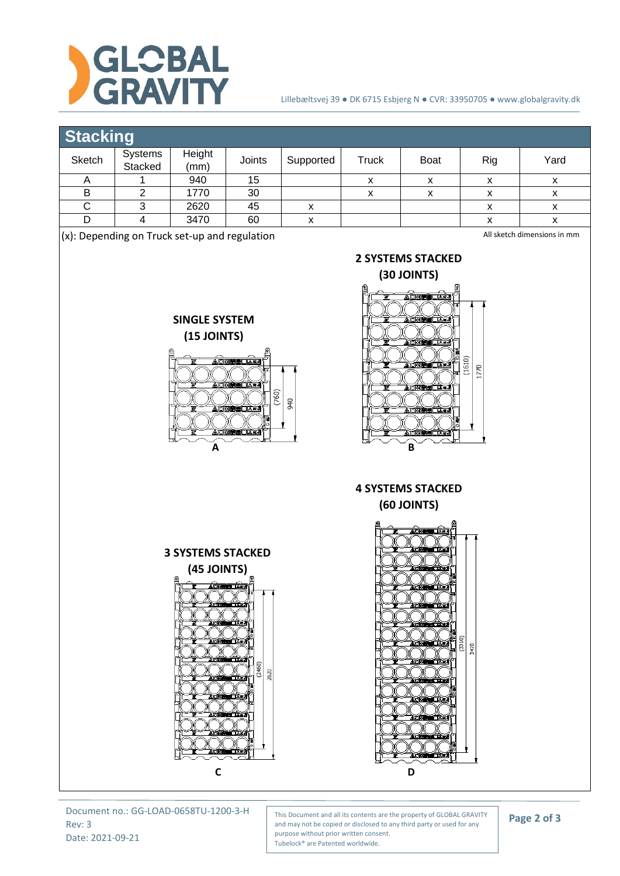

## Lillebæltsvej 39 ● DK 6715 Esbjerg N ● CVR: 33950705 ● www.globalgravity.dk

## **Stacking**

| ________ |                           |                |        |           |       |             |     |      |  |
|----------|---------------------------|----------------|--------|-----------|-------|-------------|-----|------|--|
| Sketch   | <b>Systems</b><br>Stacked | Height<br>(mm) | Joints | Supported | Truck | <b>Boat</b> | Rig | Yard |  |
|          |                           | 940            | 15     |           |       |             |     |      |  |
|          |                           | 1770           | 30     |           |       | ́           |     |      |  |
|          |                           | 2620           | 45     |           |       |             |     |      |  |
|          |                           | 3470           | 60     |           |       |             |     |      |  |
|          |                           |                |        |           |       |             |     |      |  |

(x): Depending on Truck set-up and regulation

All sketch dimensions in mm





**2 SYSTEMS STACKED**

**4 SYSTEMS STACKED (60 JOINTS)**





Document no.: GG-LOAD-0658TU-1200-3-H Rev: 3 Date: 2021-09-21

This Document and all its contents are the property of GLOBAL GRAVITY and may not be copied or disclosed to any third party or used for any purpose without prior written consent. Tubelock® are Patented worldwide.

**Page 2 of 3**